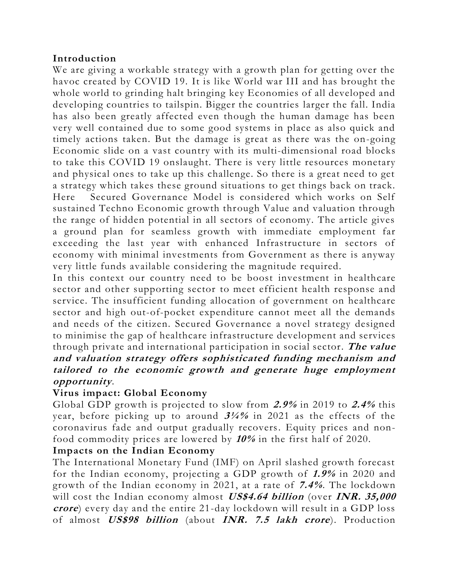### **Introduction**

We are giving a workable strategy with a growth plan for getting over the havoc created by COVID 19. It is like World war III and has brought the whole world to grinding halt bringing key Economies of all developed and developing countries to tailspin. Bigger the countries larger the fall. India has also been greatly affected even though the human damage has been very well contained due to some good systems in place as also quick and timely actions taken. But the damage is great as there was the on-going Economic slide on a vast country with its multi-dimensional road blocks to take this COVID 19 onslaught. There is very little resources monetary and physical ones to take up this challenge. So there is a great need to get a strategy which takes these ground situations to get things back on track. Here Secured Governance Model is considered which works on Self sustained Techno Economic growth through Value and valuation through the range of hidden potential in all sectors of economy. The article gives a ground plan for seamless growth with immediate employment far exceeding the last year with enhanced Infrastructure in sectors of economy with minimal investments from Government as there is anyway very little funds available considering the magnitude required.

In this context our country need to be boost investment in healthcare sector and other supporting sector to meet efficient health response and service. The insufficient funding allocation of government on healthcare sector and high out-of-pocket expenditure cannot meet all the demands and needs of the citizen. Secured Governance a novel strategy designed to minimise the gap of healthcare infrastructure development and services through private and international participation in social sector. **The value and valuation strategy offers sophisticated funding mechanism and tailored to the economic growth and generate huge employment opportunity**.

### **Virus impact: Global Economy**

Global GDP growth is projected to slow from **2.9%** in 2019 to **2.4%** this year, before picking up to around **3¼%** in 2021 as the effects of the coronavirus fade and output gradually recovers. Equity prices and nonfood commodity prices are lowered by **10%** in the first half of 2020.

### **Impacts on the Indian Economy**

The International Monetary Fund (IMF) on April slashed growth forecast for the Indian economy, projecting a GDP growth of **1.9%** in 2020 and growth of the Indian economy in 2021, at a rate of **7.4%**. The lockdown will cost the Indian economy almost **US\$4.64 billion** (over **INR. 35,000 crore**) every day and the entire 21-day lockdown will result in a GDP loss of almost **US\$98 billion** (about **INR. 7.5 lakh crore**). Production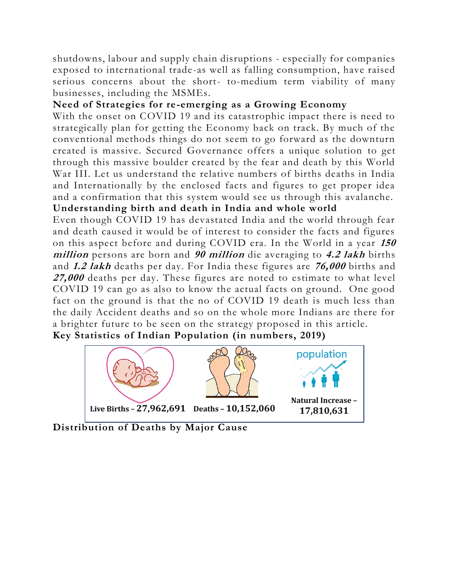shutdowns, labour and supply chain disruptions - especially for companies exposed to international trade-as well as falling consumption, have raised serious concerns about the short- to-medium term viability of many businesses, including the MSMEs.

## **Need of Strategies for re-emerging as a Growing Economy**

With the onset on COVID 19 and its catastrophic impact there is need to strategically plan for getting the Economy back on track. By much of the conventional methods things do not seem to go forward as the downturn created is massive. Secured Governance offers a unique solution to get through this massive boulder created by the fear and death by this World War III. Let us understand the relative numbers of births deaths in India and Internationally by the enclosed facts and figures to get proper idea and a confirmation that this system would see us through this avalanche. **Understanding birth and death in India and whole world**

Even though COVID 19 has devastated India and the world through fear and death caused it would be of interest to consider the facts and figures on this aspect before and during COVID era. In the World in a year **<sup>150</sup> million** persons are born and **90 million** die averaging to **4.2 lakh** births and **1.2 lakh** deaths per day. For India these figures are **76,000** births and **27,000** deaths per day. These figures are noted to estimate to what level COVID 19 can go as also to know the actual facts on ground. One good fact on the ground is that the no of COVID 19 death is much less than the daily Accident deaths and so on the whole more Indians are there for a brighter future to be seen on the strategy proposed in this article.

**Key Statistics of Indian Population (in numbers, 2019)**



**Distribution of Deaths by Major Cause**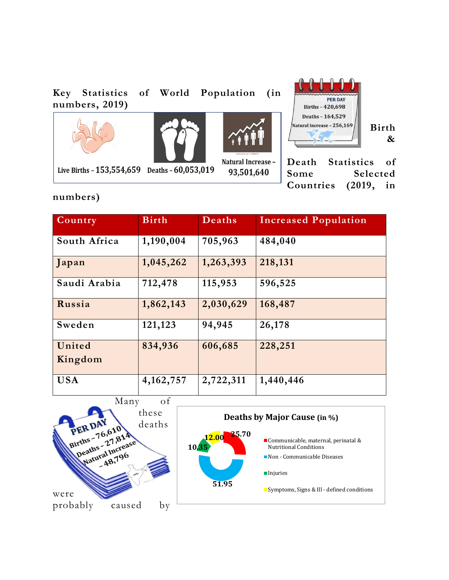**Key Statistics of World Population (in numbers, 2019)**







Natural Increase -93,501,640



**Birth &** 

**Death Statistics of Some Selected Countries (2019, in** 

**numbers)**

| Country           | <b>Birth</b> | Deaths    | <b>Increased Population</b> |
|-------------------|--------------|-----------|-----------------------------|
| South Africa      | 1,190,004    | 705,963   | 484,040                     |
| Japan             | 1,045,262    | 1,263,393 | 218,131                     |
| Saudi Arabia      | 712,478      | 115,953   | 596,525                     |
| Russia            | 1,862,143    | 2,030,629 | 168,487                     |
| Sweden            | 121,123      | 94,945    | 26,178                      |
| United<br>Kingdom | 834,936      | 606,685   | 228,251                     |
|                   |              |           |                             |
| <b>USA</b>        | 4,162,757    | 2,722,311 | 1,440,446                   |

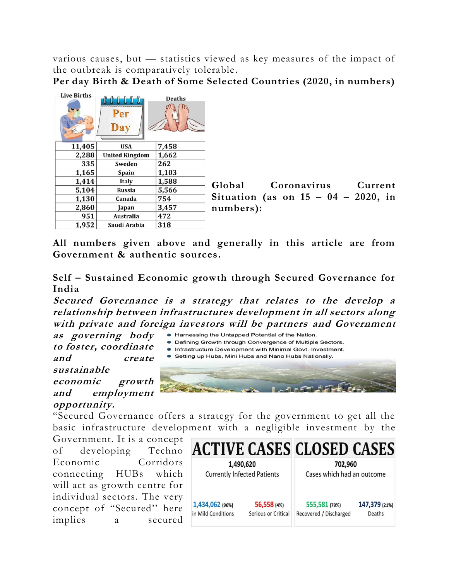various causes, but — statistics viewed as key measures of the impact of the outbreak is comparatively tolerable.

**Per day Birth & Death of Some Selected Countries (2020, in numbers)**

| <b>Live Births</b> | Per<br>Day            | <b>Deaths</b> |
|--------------------|-----------------------|---------------|
| 11,405             | <b>USA</b>            | 7,458         |
| 2,288              | <b>United Kingdom</b> | 1,662         |
| 335                | Sweden                | 262           |
| 1,165              | <b>Spain</b>          | 1,103         |
| 1,414              | Italy                 | 1,588         |
| 5,104              | <b>Russia</b>         | 5,566         |
| 1,130              | Canada                | 754           |
| 2,860              | Japan                 | 3,457         |
| 951                | Australia             | 472           |
| 1,952              | Saudi Arabia          | 318           |

**Global Coronavirus Current Situation (as on 15 – 04 – 2020, in numbers):**

**All numbers given above and generally in this article are from Government & authentic sources.**

**Self – Sustained Economic growth through Secured Governance for India**

**Secured Governance is a strategy that relates to the develop a relationship between infrastructures development in all sectors along with private and foreign investors will be partners and Government** 

**as governing body to foster, coordinate and create sustainable economic growth and employment opportunity.**

"Secured Governance offers a strategy for the government to get all the basic infrastructure development with a negligible investment by the

Government. It is a concept  $\Box$ of developing Techno Economic Corridors connecting HUBs which will act as growth centre for individual sectors. The very concept of "Secured'' here implies a secured



|                                       |                                    | ACTIVE CASES CLOSED CASES               |                         |  |
|---------------------------------------|------------------------------------|-----------------------------------------|-------------------------|--|
|                                       | 1,490,620                          | 702,960                                 |                         |  |
| <b>Currently Infected Patients</b>    |                                    | Cases which had an outcome              |                         |  |
| 1,434,062 (96%)<br>in Mild Conditions | 56,558 (4%)<br>Serious or Critical | 555,581 (79%)<br>Recovered / Discharged | 147,379 (21%)<br>Deaths |  |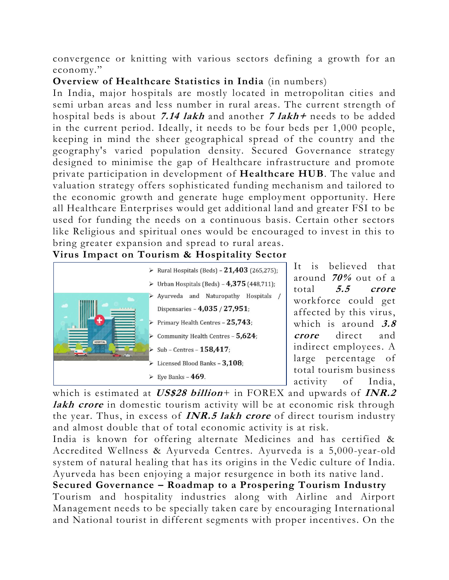convergence or knitting with various sectors defining a growth for an economy."

### **Overview of Healthcare Statistics in India** (in numbers)

In India, major hospitals are mostly located in metropolitan cities and semi urban areas and less number in rural areas. The current strength of hospital beds is about **7.14 lakh** and another **7 lakh+** needs to be added in the current period. Ideally, it needs to be four beds per 1,000 people, keeping in mind the sheer geographical spread of the country and the geography's varied population density. Secured Governance strategy designed to minimise the gap of Healthcare infrastructure and promote private participation in development of **Healthcare HUB**. The value and valuation strategy offers sophisticated funding mechanism and tailored to the economic growth and generate huge employment opportunity. Here all Healthcare Enterprises would get additional land and greater FSI to be used for funding the needs on a continuous basis. Certain other sectors like Religious and spiritual ones would be encouraged to invest in this to bring greater expansion and spread to rural areas.

### **Virus Impact on Tourism & Hospitality Sector**



It is believed that around **70%** out of a total **5.5 crore** workforce could get affected by this virus, which is around **3.8 crore** direct and indirect employees. A large percentage of total tourism business activity of India,

which is estimated at **US\$28 billion**+ in FOREX and upwards of **INR.2**  lakh crore in domestic tourism activity will be at economic risk through the year. Thus, in excess of **INR.5 lakh crore** of direct tourism industry and almost double that of total economic activity is at risk.

India is known for offering alternate Medicines and has certified & Accredited Wellness & Ayurveda Centres. Ayurveda is a 5,000-year-old system of natural healing that has its origins in the Vedic culture of India. Ayurveda has been enjoying a major resurgence in both its native land .

**Secured Governance – Roadmap to a Prospering Tourism Industry** Tourism and hospitality industries along with Airline and Airport Management needs to be specially taken care by encouraging International and National tourist in different segments with proper incentives. On the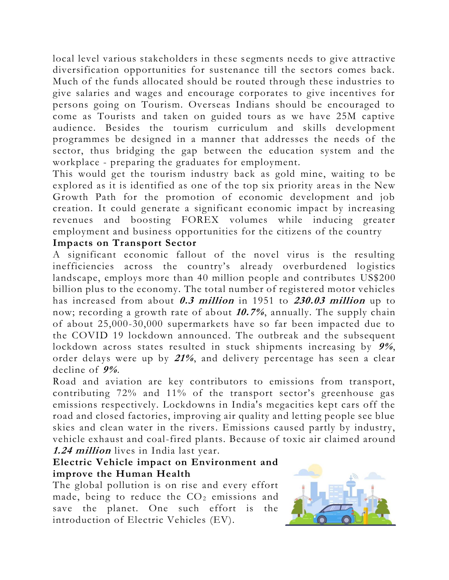local level various stakeholders in these segments needs to give attractive diversification opportunities for sustenance till the sectors comes back. Much of the funds allocated should be routed through these industries to give salaries and wages and encourage corporates to give incentives for persons going on Tourism. Overseas Indians should be encouraged to come as Tourists and taken on guided tours as we have 25M captive audience. Besides the tourism curriculum and skills development programmes be designed in a manner that addresses the needs of the sector, thus bridging the gap between the education system and the workplace - preparing the graduates for employment.

This would get the tourism industry back as gold mine, waiting to be explored as it is identified as one of the top six priority areas in the New Growth Path for the promotion of economic development and job creation. It could generate a significant economic impact by increasing revenues and boosting FOREX volumes while inducing greater employment and business opportunities for the citizens of the country

# **Impacts on Transport Sector**

A significant economic fallout of the novel virus is the resulting inefficiencies across the country's already overburdened logistics landscape, employs more than 40 million people and contributes US\$200 billion plus to the economy. The total number of registered motor vehicles has increased from about **0.3 million** in 1951 to **230.03 million** up to now; recording a growth rate of about **10.7%**, annually. The supply chain of about 25,000-30,000 supermarkets have so far been impacted due to the COVID 19 lockdown announced. The outbreak and the subsequent lockdown across states resulted in stuck shipments increasing by **9%**, order delays were up by **21%**, and delivery percentage has seen a clear decline of **9%**.

Road and aviation are key contributors to emissions from transport, contributing 72% and 11% of the transport sector's greenhouse gas emissions respectively. Lockdowns in India's megacities kept cars off the road and closed factories, improving air quality and letting people see blue skies and clean water in the rivers. Emissions caused partly by industry, vehicle exhaust and coal-fired plants. Because of toxic air claimed around **1.24 million** lives in India last year.

### **Electric Vehicle impact on Environment and improve the Human Health**

The global pollution is on rise and every effort made, being to reduce the  $CO<sub>2</sub>$  emissions and save the planet. One such effort is the introduction of Electric Vehicles (EV).

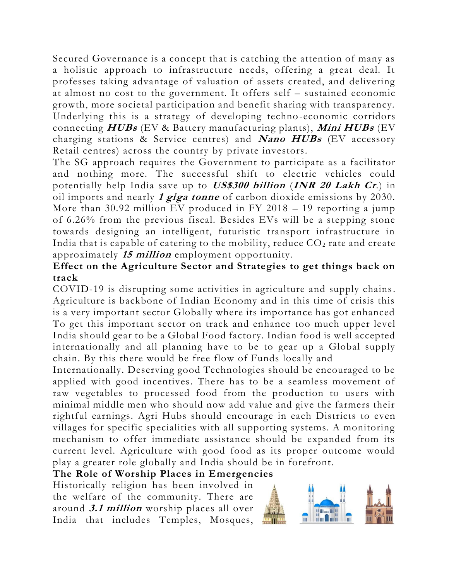Secured Governance is a concept that is catching the attention of many as a holistic approach to infrastructure needs, offering a great deal. It professes taking advantage of valuation of assets created, and delivering at almost no cost to the government. It offers self – sustained economic growth, more societal participation and benefit sharing with transparency. Underlying this is a strategy of developing techno-economic corridors connecting **HUBs** (EV & Battery manufacturing plants), **Mini HUBs** (EV charging stations & Service centres) and **Nano HUBs** (EV accessory Retail centres) across the country by private investors.

The SG approach requires the Government to participate as a facilitator and nothing more. The successful shift to electric vehicles could potentially help India save up to **US\$300 billion** (**INR 20 Lakh Cr**.) in oil imports and nearly **1 giga tonne** of carbon dioxide emissions by 2030. More than 30.92 million EV produced in FY 2018 – 19 reporting a jump of 6.26% from the previous fiscal. Besides EVs will be a stepping stone towards designing an intelligent, futuristic transport infrastructure in India that is capable of catering to the mobility, reduce  $CO<sub>2</sub>$  rate and create approximately **15 million** employment opportunity.

## **Effect on the Agriculture Sector and Strategies to get things back on track**

COVID-19 is disrupting some activities in agriculture and supply chains. Agriculture is backbone of Indian Economy and in this time of crisis this is a very important sector Globally where its importance has got enhanced To get this important sector on track and enhance too much upper level India should gear to be a Global Food factory. Indian food is well accepted internationally and all planning have to be to gear up a Global supply chain. By this there would be free flow of Funds locally and

Internationally. Deserving good Technologies should be encouraged to be applied with good incentives. There has to be a seamless movement of raw vegetables to processed food from the production to users with minimal middle men who should now add value and give the farmers their rightful earnings. Agri Hubs should encourage in each Districts to even villages for specific specialities with all supporting systems. A monitoring mechanism to offer immediate assistance should be expanded from its current level. Agriculture with good food as its proper outcome would play a greater role globally and India should be in forefront.

#### **The Role of Worship Places in Emergencies**

Historically religion has been involved in the welfare of the community. There are around **3.1 million** worship places all over India that includes Temples, Mosques,

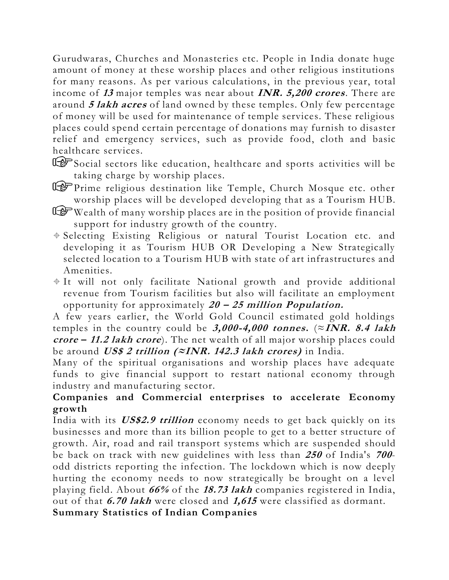Gurudwaras, Churches and Monasteries etc. People in India donate huge amount of money at these worship places and other religious institutions for many reasons. As per various calculations, in the previous year, total income of **<sup>13</sup>** major temples was near about **INR. 5,200 crores**. There are around **5 lakh acres** of land owned by these temples. Only few percentage of money will be used for maintenance of temple services. These religious places could spend certain percentage of donations may furnish to disaster relief and emergency services, such as provide food, cloth and basic healthcare services.

- Social sectors like education, healthcare and sports activities will be taking charge by worship places.
- Le Prime religious destination like Temple, Church Mosque etc. other worship places will be developed developing that as a Tourism HUB.
- US Wealth of many worship places are in the position of provide financial support for industry growth of the country.
- Selecting Existing Religious or natural Tourist Location etc. and developing it as Tourism HUB OR Developing a New Strategically selected location to a Tourism HUB with state of art infrastructures and Amenities.
- $\div$  It will not only facilitate National growth and provide additional revenue from Tourism facilities but also will facilitate an employment opportunity for approximately **<sup>20</sup>– 25 million Population.**

A few years earlier, the World Gold Council estimated gold holdings temples in the country could be  $3,000-4,000$  tonnes. ( $\approx$  **INR.** 8.4 lakh **crore – 11.2 lakh crore**). The net wealth of all major worship places could be around **US\$ 2 trillion (≈INR. 142.3 lakh crores)** in India.

Many of the spiritual organisations and worship places have adequate funds to give financial support to restart national economy through industry and manufacturing sector.

### **Companies and Commercial enterprises to accelerate Economy growth**

India with its **US\$2.9 trillion** economy needs to get back quickly on its businesses and more than its billion people to get to a better structure of growth. Air, road and rail transport systems which are suspended should be back on track with new guidelines with less than **<sup>250</sup>** of India's **700** odd districts reporting the infection. The lockdown which is now deeply hurting the economy needs to now strategically be brought on a level playing field. About **66%** of the **18.73 lakh** companies registered in India, out of that **6.70 lakh** were closed and **1,615** were classified as dormant. **Summary Statistics of Indian Companies**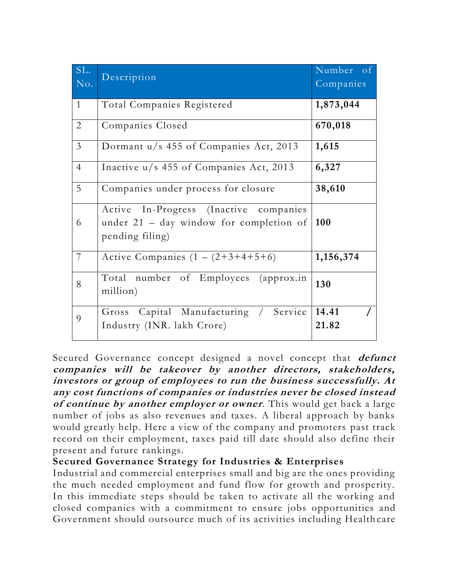| SL.<br>No.     | Description                                                                                            | Number of<br>Companies |
|----------------|--------------------------------------------------------------------------------------------------------|------------------------|
| $\mathbf{1}$   | Total Companies Registered                                                                             | 1,873,044              |
| $\overline{2}$ | Companies Closed                                                                                       | 670,018                |
| $\overline{3}$ | Dormant u/s 455 of Companies Act, 2013                                                                 | 1,615                  |
| $\overline{4}$ | Inactive u/s 455 of Companies Act, 2013                                                                | 6,327                  |
| 5              | Companies under process for closure                                                                    | 38,610                 |
| 6              | Active In-Progress (Inactive companies<br>under $21 - day$ window for completion of<br>pending filing) | <b>100</b>             |
| $\overline{7}$ | Active Companies $(1 - (2+3+4+5+6))$                                                                   | 1,156,374              |
| 8              | Total<br>number of Employees (approx.in<br>million)                                                    | 130                    |
| 9              | Capital Manufacturing<br>Service<br>Gross<br>Industry (INR. lakh Crore)                                | 14.41<br>21.82         |

Secured Governance concept designed a novel concept that **defunct companies will be takeover by another directors, stakeholders, investors or group of employees to run the business successfully. At any cost functions of companies or industries never be closed instead of continue by another employer or owner**. This would get back a large number of jobs as also revenues and taxes. A liberal approach by banks would greatly help. Here a view of the company and promoters past track record on their employment, taxes paid till date should also define their present and future rankings.

#### **Secured Governance Strategy for Industries & Enterprises**

Industrial and commercial enterprises small and big are the ones providing the much needed employment and fund flow for growth and prosperity. In this immediate steps should be taken to activate all the working and closed companies with a commitment to ensure jobs opportunities and Government should outsource much of its activities including Health care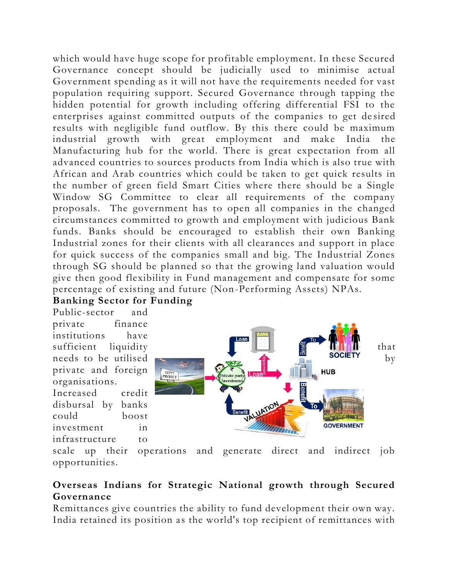which would have huge scope for profitable employment. In these Secured Governance concept should be judicially used to minimise actual Government spending as it will not have the requirements needed for vast population requiring support. Secured Governance through tapping the hidden potential for growth including offering differential FSI to the enterprises against committed outputs of the companies to get de sired results with negligible fund outflow. By this there could be maximum industrial growth with great employment and make India the Manufacturing hub for the world. There is great expectation from all advanced countries to sources products from India which is also true with African and Arab countries which could be taken to get quick results in the number of green field Smart Cities where there should be a Single Window SG Committee to clear all requirements of the company proposals. The government has to open all companies in the changed circumstances committed to growth and employment with judicious Bank funds. Banks should be encouraged to establish their own Banking Industrial zones for their clients with all clearances and support in place for quick success of the companies small and big. The Industrial Zones through SG should be planned so that the growing land valuation would give then good flexibility in Fund management and compensate for some percentage of existing and future (Non-Performing Assets) NPAs.

### **Banking Sector for Funding**

Public-sector and private finance institutions have private and foreign organisations. Increased credit disbursal by banks could boost investment in infrastructure to



scale up their operations and generate direct and indirect job opportunities.

### **Overseas Indians for Strategic National growth through Secured Governance**

Remittances give countries the ability to fund development their own way. India retained its position as the world's top recipient of remittances with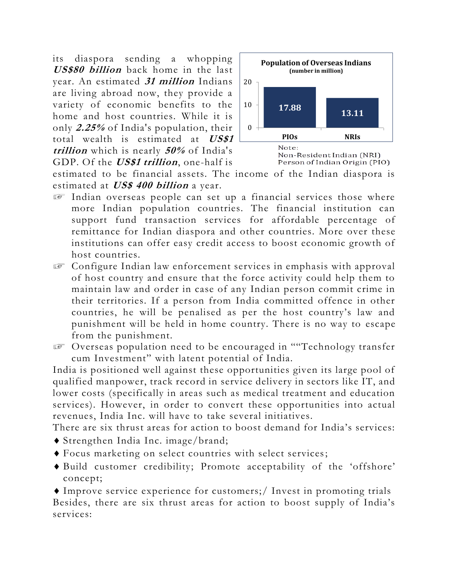its diaspora sending a whopping **US\$80 billion** back home in the last year. An estimated **31 million** Indians are living abroad now, they provide a variety of economic benefits to the home and host countries. While it is only **2.25%** of India's population, their total wealth is estimated at **US\$1 trillion** which is nearly **50%** of India's GDP. Of the **US\$1 trillion**, one-half is



estimated to be financial assets. The income of the Indian diaspora is estimated at **US\$ 400 billion** a year.

- Indian overseas people can set up a financial services those where more Indian population countries. The financial institution can support fund transaction services for affordable percentage of remittance for Indian diaspora and other countries. More over these institutions can offer easy credit access to boost economic growth of host countries.
- Configure Indian law enforcement services in emphasis with approval of host country and ensure that the force activity could help them to maintain law and order in case of any Indian person commit crime in their territories. If a person from India committed offence in other countries, he will be penalised as per the host country's law and punishment will be held in home country. There is no way to escape from the punishment.
- Overseas population need to be encouraged in ""Technology transfer cum Investment" with latent potential of India.

India is positioned well against these opportunities given its large pool of qualified manpower, track record in service delivery in sectors like IT, and lower costs (specifically in areas such as medical treatment and education services). However, in order to convert these opportunities into actual revenues, India Inc. will have to take several initiatives.

There are six thrust areas for action to boost demand for India's services:

- ◆ Strengthen India Inc. image/brand;
- Focus marketing on select countries with select services;
- Build customer credibility; Promote acceptability of the 'offshore' concept;

 Improve service experience for customers;/ Invest in promoting trials Besides, there are six thrust areas for action to boost supply of India's services: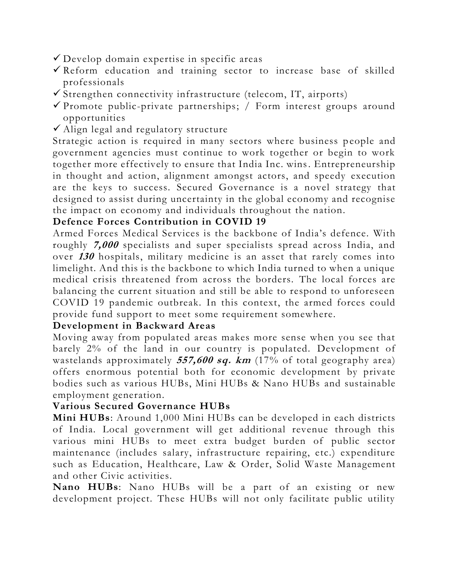- Develop domain expertise in specific areas
- $\checkmark$  Reform education and training sector to increase base of skilled professionals
- $\checkmark$  Strengthen connectivity infrastructure (telecom, IT, airports)
- $\checkmark$  Promote public-private partnerships; / Form interest groups around opportunities
- $\checkmark$  Align legal and regulatory structure

Strategic action is required in many sectors where business people and government agencies must continue to work together or begin to work together more effectively to ensure that India Inc. wins. Entrepreneurship in thought and action, alignment amongst actors, and speedy execution are the keys to success. Secured Governance is a novel strategy that designed to assist during uncertainty in the global economy and recognise the impact on economy and individuals throughout the nation.

# **Defence Forces Contribution in COVID 19**

Armed Forces Medical Services is the backbone of India's defence. With roughly **7,000** specialists and super specialists spread across India, and over **<sup>130</sup>** hospitals, military medicine is an asset that rarely comes into limelight. And this is the backbone to which India turned to when a unique medical crisis threatened from across the borders. The local forces are balancing the current situation and still be able to respond to unforeseen COVID 19 pandemic outbreak. In this context, the armed forces could provide fund support to meet some requirement somewhere.

# **Development in Backward Areas**

Moving away from populated areas makes more sense when you see that barely 2% of the land in our country is populated. Development of wastelands approximately **557,600 sq. km** (17% of total geography area) offers enormous potential both for economic development by private bodies such as various HUBs, Mini HUBs & Nano HUBs and sustainable employment generation.

# **Various Secured Governance HUBs**

**Mini HUBs**: Around 1,000 Mini HUBs can be developed in each districts of India. Local government will get additional revenue through this various mini HUBs to meet extra budget burden of public sector maintenance (includes salary, infrastructure repairing, etc.) expenditure such as Education, Healthcare, Law & Order, Solid Waste Management and other Civic activities.

**Nano HUBs**: Nano HUBs will be a part of an existing or new development project. These HUBs will not only facilitate public utility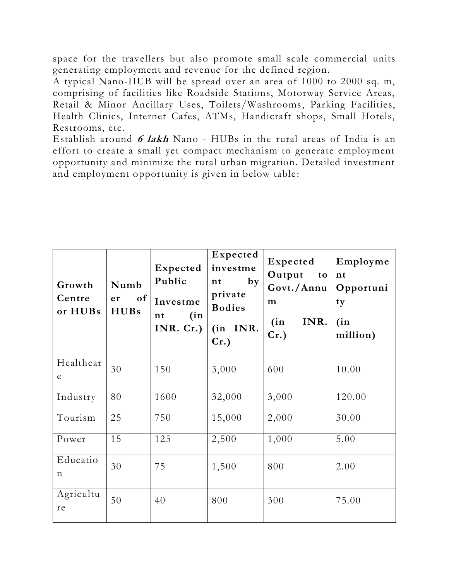space for the travellers but also promote small scale commercial units generating employment and revenue for the defined region.

A typical Nano-HUB will be spread over an area of 1000 to 2000 sq. m, comprising of facilities like Roadside Stations, Motorway Service Areas, Retail & Minor Ancillary Uses, Toilets/Washrooms, Parking Facilities, Health Clinics, Internet Cafes, ATMs, Handicraft shops, Small Hotels, Restrooms, etc.

Establish around **<sup>6</sup> lakh** Nano - HUBs in the rural areas of India is an effort to create a small yet compact mechanism to generate employment opportunity and minimize the rural urban migration. Detailed investment and employment opportunity is given in below table :

| Growth<br>Centre<br>or HUBs | Numb<br>of<br>er<br><b>HUBs</b> | Expected<br>Public<br>Investme<br>(in<br>nt<br>INR. $Cr.$ ) | Expected<br>investme<br>$\mathbf{b} \mathbf{v}$<br>$n_{t}$<br>private<br><b>Bodies</b><br>(in INR.<br>$Cr.$ ) | Expected<br>Output<br>to<br>Govt./Annu<br>m<br>INR.<br>(in<br>Cr. | Employme<br>$n_{t}$<br>Opportuni<br>ty<br>(in<br>million) |
|-----------------------------|---------------------------------|-------------------------------------------------------------|---------------------------------------------------------------------------------------------------------------|-------------------------------------------------------------------|-----------------------------------------------------------|
| Healthcar<br>e              | 30                              | 150                                                         | 3,000                                                                                                         | 600                                                               | 10.00                                                     |
| Industry                    | 80                              | 1600                                                        | 32,000                                                                                                        | 3,000                                                             | 120.00                                                    |
| Tourism                     | 25                              | 750                                                         | 15,000                                                                                                        | 2,000                                                             | 30.00                                                     |
| Power                       | 15                              | 125                                                         | 2,500                                                                                                         | 1,000                                                             | 5.00                                                      |
| Educatio<br>$\mathbf n$     | 30                              | 75                                                          | 1,500                                                                                                         | 800                                                               | 2.00                                                      |
| Agricultu<br>re             | 50                              | 40                                                          | 800                                                                                                           | 300                                                               | 75.00                                                     |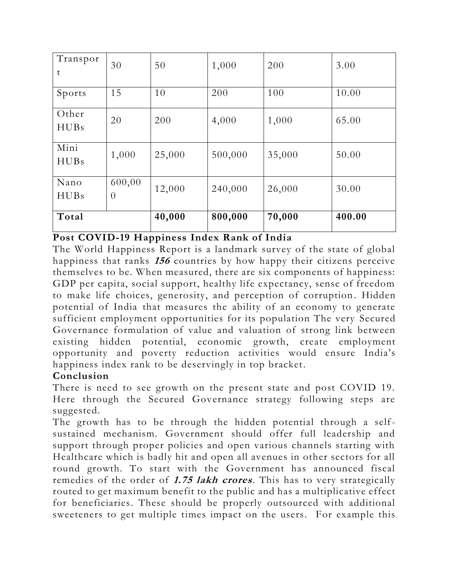| Transpor<br>t | 30                       | 50     | 1,000   | 200    | 3.00   |
|---------------|--------------------------|--------|---------|--------|--------|
| Sports        | 15                       | 10     | 200     | 100    | 10.00  |
| Other<br>HUBs | 20                       | 200    | 4,000   | 1,000  | 65.00  |
| Mini<br>HUBs  | 1,000                    | 25,000 | 500,000 | 35,000 | 50.00  |
| Nano<br>HUBs  | 600,00<br>$\overline{0}$ | 12,000 | 240,000 | 26,000 | 30.00  |
| Total         |                          | 40,000 | 800,000 | 70,000 | 400.00 |

# **Post COVID-19 Happiness Index Rank of India**

The World Happiness Report is a landmark survey of the state of global happiness that ranks **<sup>156</sup>** countries by how happy their citizens perceive themselves to be. When measured, there are six components of happiness: GDP per capita, social support, healthy life expectancy, sense of freedom to make life choices, generosity, and perception of corruption . Hidden potential of India that measures the ability of an economy to generate sufficient employment opportunities for its population The very Secured Governance formulation of value and valuation of strong link between existing hidden potential, economic growth, create employment opportunity and poverty reduction activities would ensure India's happiness index rank to be deservingly in top bracket.

#### **Conclusion**

There is need to see growth on the present state and post COVID 19. Here through the Secured Governance strategy following steps are suggested.

The growth has to be through the hidden potential through a selfsustained mechanism. Government should offer full leadership and support through proper policies and open various channels starting with Healthcare which is badly hit and open all avenues in other sectors for all round growth. To start with the Government has announced fiscal remedies of the order of **1.75 lakh crores**. This has to very strategically routed to get maximum benefit to the public and has a multiplicative effect for beneficiaries. These should be properly outsourced with additional sweeteners to get multiple times impact on the users. For example this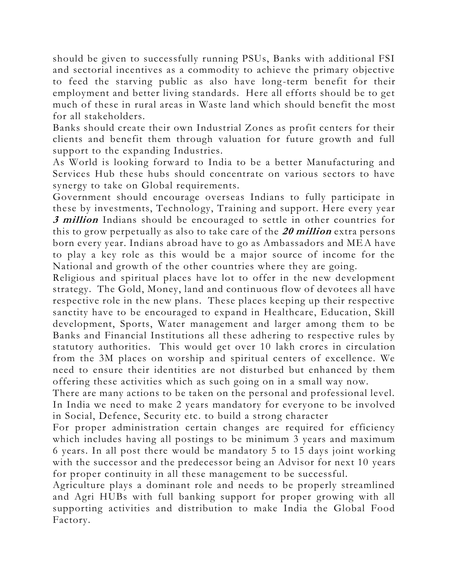should be given to successfully running PSUs, Banks with additional FSI and sectorial incentives as a commodity to achieve the primary objective to feed the starving public as also have long -term benefit for their employment and better living standards. Here all efforts should be to get much of these in rural areas in Waste land which should benefit the most for all stakeholders.

Banks should create their own Industrial Zones as profit centers for their clients and benefit them through valuation for future growth and full support to the expanding Industries.

As World is looking forward to India to be a better Manufacturing and Services Hub these hubs should concentrate on various sectors to have synergy to take on Global requirements.

Government should encourage overseas Indians to fully participate in these by investments, Technology, Training and support. Here every year **3 million** Indians should be encouraged to settle in other countries for this to grow perpetually as also to take care of the **<sup>20</sup> million** extra persons born every year. Indians abroad have to go as Ambassadors and MEA have to play a key role as this would be a major source of income for the National and growth of the other countries where they are going.

Religious and spiritual places have lot to offer in the new development strategy. The Gold, Money, land and continuous flow of devotees all have respective role in the new plans. These places keeping up their respective sanctity have to be encouraged to expand in Healthcare, Education, Skill development, Sports, Water management and larger among them to be Banks and Financial Institutions all these adhering to respective rules by statutory authorities. This would get over 10 lakh crores in circulation from the 3M places on worship and spiritual centers of excellence. We need to ensure their identities are not disturbed but enhanced by them offering these activities which as such going on in a small way now.

There are many actions to be taken on the personal and professional level. In India we need to make 2 years mandatory for everyone to be involved in Social, Defence, Security etc. to build a strong character

For proper administration certain changes are required for efficiency which includes having all postings to be minimum 3 years and maximum 6 years. In all post there would be mandatory 5 to 15 days joint working with the successor and the predecessor being an Advisor for next 10 years for proper continuity in all these management to be successful.

Agriculture plays a dominant role and needs to be properly streamlined and Agri HUBs with full banking support for proper growing with all supporting activities and distribution to make India the Global Food Factory.